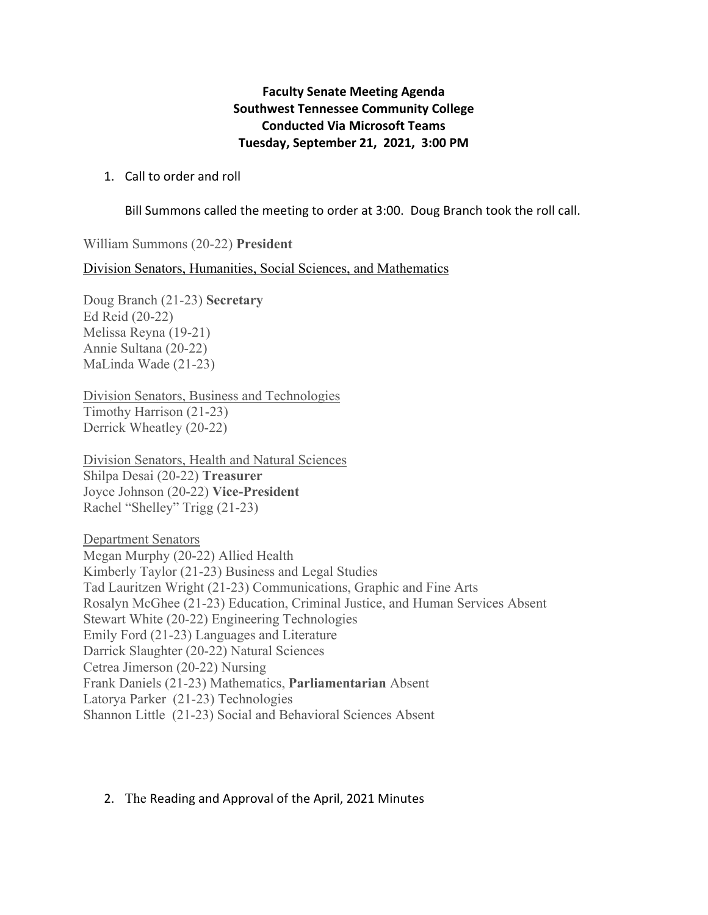## **Faculty Senate Meeting Agenda Southwest Tennessee Community College Conducted Via Microsoft Teams Tuesday, September 21, 2021, 3:00 PM**

## 1. Call to order and roll

Bill Summons called the meeting to order at 3:00. Doug Branch took the roll call.

William Summons (20-22) **President** 

Division Senators, Humanities, Social Sciences, and Mathematics

Doug Branch (21-23) **Secretary**  Ed Reid (20-22) Melissa Reyna (19-21) Annie Sultana (20-22) MaLinda Wade (21-23)

Division Senators, Business and Technologies Timothy Harrison (21-23) Derrick Wheatley (20-22)

Division Senators, Health and Natural Sciences Shilpa Desai (20-22) **Treasurer** Joyce Johnson (20-22) **Vice-President** Rachel "Shelley" Trigg (21-23)

Department Senators Megan Murphy (20-22) Allied Health Kimberly Taylor (21-23) Business and Legal Studies Tad Lauritzen Wright (21-23) Communications, Graphic and Fine Arts Rosalyn McGhee (21-23) Education, Criminal Justice, and Human Services Absent Stewart White (20-22) Engineering Technologies Emily Ford (21-23) Languages and Literature Darrick Slaughter (20-22) Natural Sciences Cetrea Jimerson (20-22) Nursing Frank Daniels (21-23) Mathematics, **Parliamentarian** Absent Latorya Parker (21-23) Technologies Shannon Little (21-23) Social and Behavioral Sciences Absent

## 2. The Reading and Approval of the April, 2021 Minutes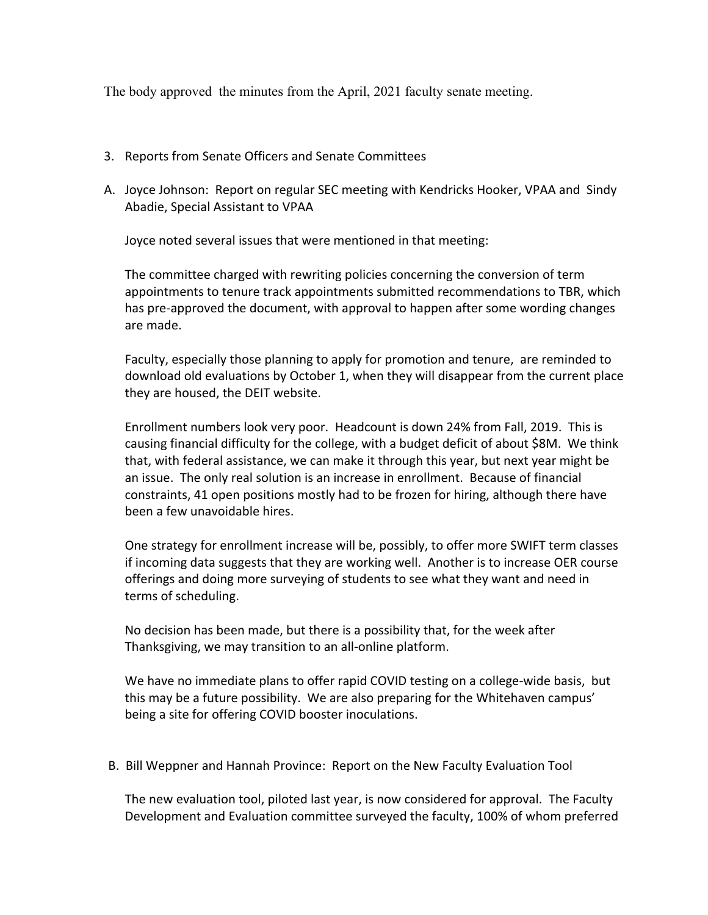The body approved the minutes from the April, 2021 faculty senate meeting.

- 3. Reports from Senate Officers and Senate Committees
- A. Joyce Johnson: Report on regular SEC meeting with Kendricks Hooker, VPAA and Sindy Abadie, Special Assistant to VPAA

Joyce noted several issues that were mentioned in that meeting:

The committee charged with rewriting policies concerning the conversion of term appointments to tenure track appointments submitted recommendations to TBR, which has pre‐approved the document, with approval to happen after some wording changes are made.

Faculty, especially those planning to apply for promotion and tenure, are reminded to download old evaluations by October 1, when they will disappear from the current place they are housed, the DEIT website.

Enrollment numbers look very poor. Headcount is down 24% from Fall, 2019. This is causing financial difficulty for the college, with a budget deficit of about \$8M. We think that, with federal assistance, we can make it through this year, but next year might be an issue. The only real solution is an increase in enrollment. Because of financial constraints, 41 open positions mostly had to be frozen for hiring, although there have been a few unavoidable hires.

One strategy for enrollment increase will be, possibly, to offer more SWIFT term classes if incoming data suggests that they are working well. Another is to increase OER course offerings and doing more surveying of students to see what they want and need in terms of scheduling.

No decision has been made, but there is a possibility that, for the week after Thanksgiving, we may transition to an all‐online platform.

We have no immediate plans to offer rapid COVID testing on a college-wide basis, but this may be a future possibility. We are also preparing for the Whitehaven campus' being a site for offering COVID booster inoculations.

B. Bill Weppner and Hannah Province: Report on the New Faculty Evaluation Tool

The new evaluation tool, piloted last year, is now considered for approval. The Faculty Development and Evaluation committee surveyed the faculty, 100% of whom preferred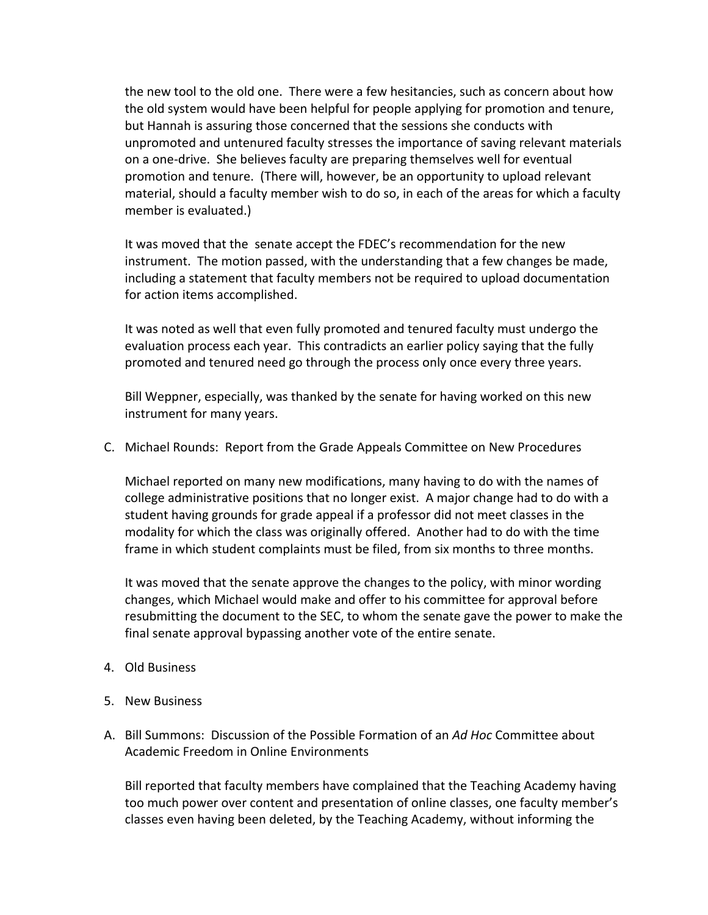the new tool to the old one. There were a few hesitancies, such as concern about how the old system would have been helpful for people applying for promotion and tenure, but Hannah is assuring those concerned that the sessions she conducts with unpromoted and untenured faculty stresses the importance of saving relevant materials on a one‐drive. She believes faculty are preparing themselves well for eventual promotion and tenure. (There will, however, be an opportunity to upload relevant material, should a faculty member wish to do so, in each of the areas for which a faculty member is evaluated.)

It was moved that the senate accept the FDEC's recommendation for the new instrument. The motion passed, with the understanding that a few changes be made, including a statement that faculty members not be required to upload documentation for action items accomplished.

It was noted as well that even fully promoted and tenured faculty must undergo the evaluation process each year. This contradicts an earlier policy saying that the fully promoted and tenured need go through the process only once every three years.

Bill Weppner, especially, was thanked by the senate for having worked on this new instrument for many years.

C. Michael Rounds: Report from the Grade Appeals Committee on New Procedures

Michael reported on many new modifications, many having to do with the names of college administrative positions that no longer exist. A major change had to do with a student having grounds for grade appeal if a professor did not meet classes in the modality for which the class was originally offered. Another had to do with the time frame in which student complaints must be filed, from six months to three months.

It was moved that the senate approve the changes to the policy, with minor wording changes, which Michael would make and offer to his committee for approval before resubmitting the document to the SEC, to whom the senate gave the power to make the final senate approval bypassing another vote of the entire senate.

- 4. Old Business
- 5. New Business
- A. Bill Summons: Discussion of the Possible Formation of an *Ad Hoc* Committee about Academic Freedom in Online Environments

Bill reported that faculty members have complained that the Teaching Academy having too much power over content and presentation of online classes, one faculty member's classes even having been deleted, by the Teaching Academy, without informing the